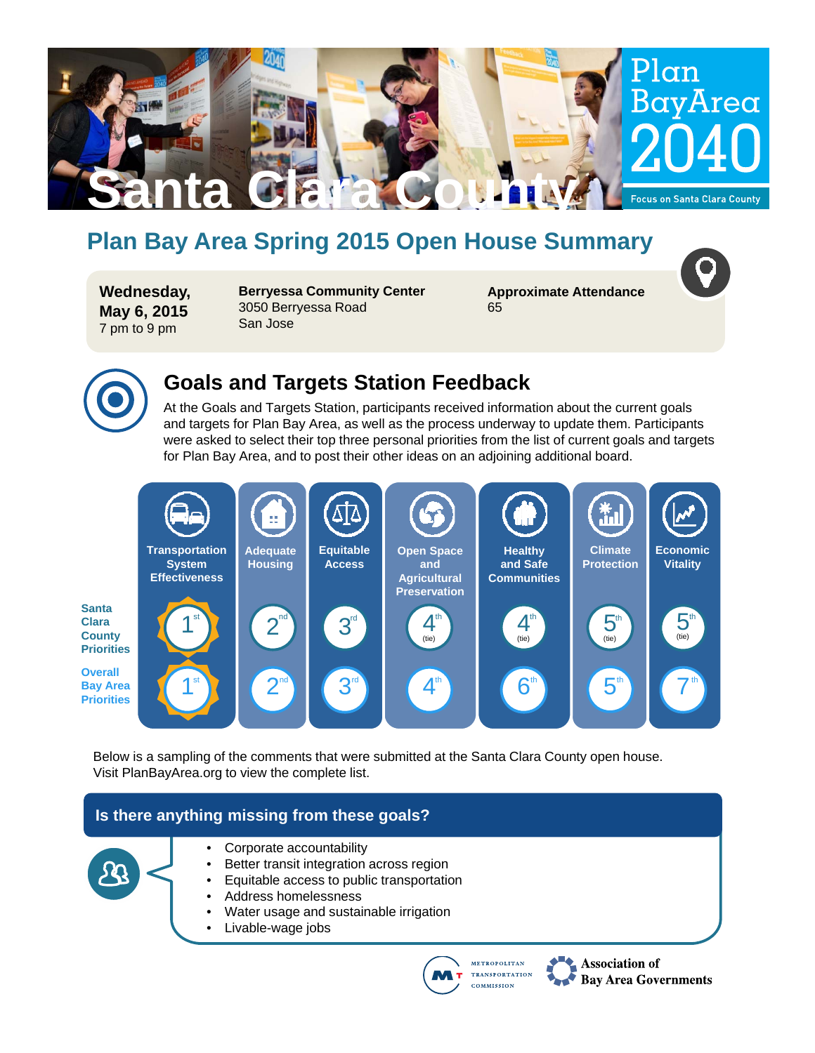

# **Plan Bay Area Spring 2015 Open House Summary**

**Wednesday, May 6, 2015** 7 pm to 9 pm

**Berryessa Community Center** 3050 Berryessa Road San Jose

**Approximate Attendance** 65



### **Goals and Targets Station Feedback**

At the Goals and Targets Station, participants received information about the current goals and targets for Plan Bay Area, as well as the process underway to update them. Participants were asked to select their top three personal priorities from the list of current goals and targets for Plan Bay Area, and to post their other ideas on an adjoining additional board.



Below is a sampling of the comments that were submitted at the Santa Clara County open house. Visit PlanBayArea.org to view the complete list.

### **Is there anything missing from these goals?**



- Corporate accountability
- Better transit integration across region
- Equitable access to public transportation
- Address homelessness
- Water usage and sustainable irrigation
- Livable-wage jobs



**Association of Bay Area Governments**